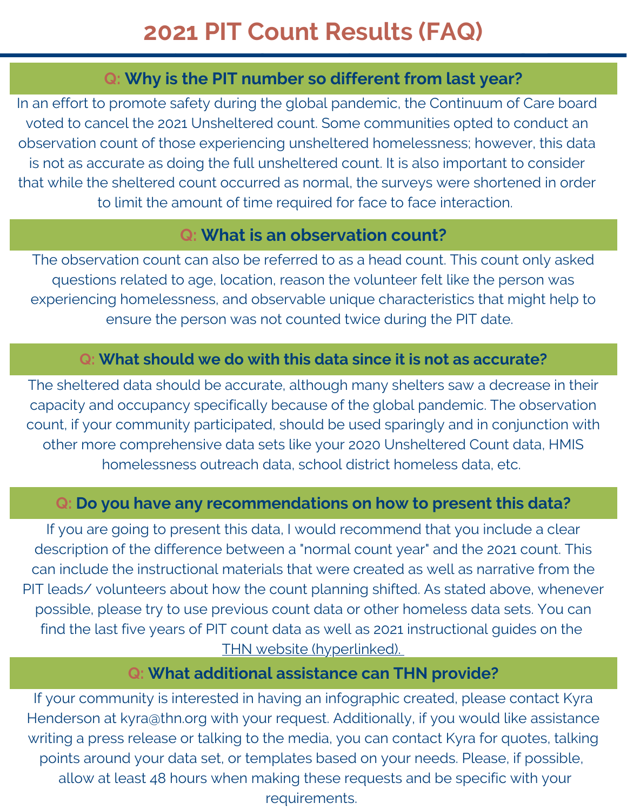# **2021 PIT Count Results (FAQ)**

### **Q: Why is the PIT number so different from last year?**

In an effort to promote safety during the global pandemic, the Continuum of Care board voted to cancel the 2021 Unsheltered count. Some communities opted to conduct an observation count of those experiencing unsheltered homelessness; however, this data is not as accurate as doing the full unsheltered count. It is also important to consider that while the sheltered count occurred as normal, the surveys were shortened in order to limit the amount of time required for face to face interaction.

## **Q: What is an observation count?**

The observation count can also be referred to as a head count. This count only asked questions related to age, location, reason the volunteer felt like the person was experiencing homelessness, and observable unique characteristics that might help to ensure the person was not counted twice during the PIT date.

### **Q: What should we do with this data since it is not as accurate?**

The sheltered data should be accurate, although many shelters saw a decrease in their capacity and occupancy specifically because of the global pandemic. The observation count, if your community participated, should be used sparingly and in conjunction with other more comprehensive data sets like your 2020 Unsheltered Count data, HMIS homelessness outreach data, school district homeless data, etc.

### **Q: Do you have any recommendations on how to present this data?**

If you are going to present this data, I would recommend that you include a clear description of the difference between a "normal count year" and the 2021 count. This can include the instructional materials that were created as well as narrative from the PIT leads/ volunteers about how the count planning shifted. As stated above, whenever possible, please try to use previous count data or other homeless data sets. You can find the last five years of PIT count data as well as 2021 instructional guides on the THN website [\(hyperlinked\).](https://www.thn.org/texas-balance-state-continuum-care/data/pit-count-and-hic/)

### **Q: What additional assistance can THN provide?**

If your community is interested in having an infographic created, please contact Kyra Henderson at kyra@thn.org with your request. Additionally, if you would like assistance writing a press release or talking to the media, you can contact Kyra for quotes, talking points around your data set, or templates based on your needs. Please, if possible, allow at least 48 hours when making these requests and be specific with your requirements.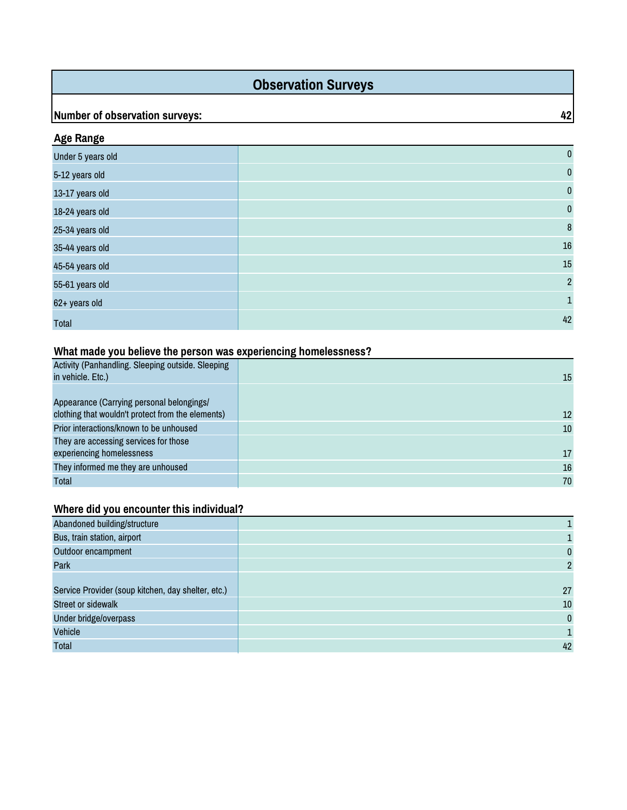### **Observation Surveys**

### **Number of observation surveys:** 42

| <b>Age Range</b>  |                |
|-------------------|----------------|
| Under 5 years old | $\pmb{0}$      |
| 5-12 years old    | $\pmb{0}$      |
| 13-17 years old   | $\pmb{0}$      |
| 18-24 years old   | $\pmb{0}$      |
| 25-34 years old   | 8              |
| 35-44 years old   | $16\,$         |
| 45-54 years old   | 15             |
| 55-61 years old   | $\overline{2}$ |
| 62+ years old     | $\mathbf{1}$   |
| <b>Total</b>      | 42             |

### **What made you believe the person was experiencing homelessness?**

| Activity (Panhandling. Sleeping outside. Sleeping<br>in vehicle. Etc.)                         | 15 |
|------------------------------------------------------------------------------------------------|----|
| Appearance (Carrying personal belongings/<br>clothing that wouldn't protect from the elements) | 12 |
| Prior interactions/known to be unhoused                                                        | 10 |
| They are accessing services for those                                                          |    |
| experiencing homelessness                                                                      | 17 |
| They informed me they are unhoused                                                             | 16 |
| Total                                                                                          | 70 |

### **Where did you encounter this individual?**

| Abandoned building/structure                       |              |
|----------------------------------------------------|--------------|
| Bus, train station, airport                        |              |
| Outdoor encampment                                 | 0            |
| Park                                               | 2            |
|                                                    |              |
| Service Provider (soup kitchen, day shelter, etc.) | 27           |
| <b>Street or sidewalk</b>                          | 10           |
| Under bridge/overpass                              | $\mathbf{0}$ |
| Vehicle                                            |              |
| Total                                              | 42           |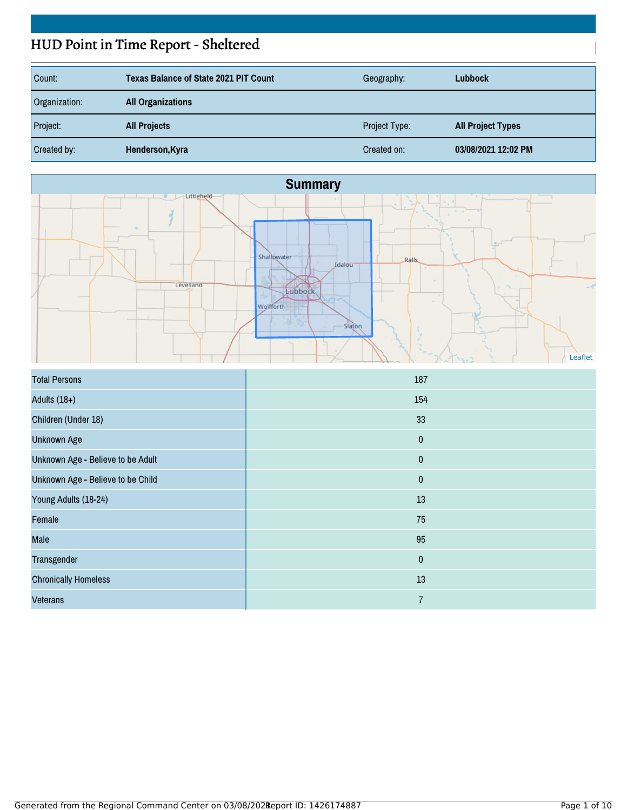# HUD Point in Time Report - Sheltered

| Count:        | <b>Texas Balance of State 2021 PIT Count</b> | Geography:    | <b>Lubbock</b>           |
|---------------|----------------------------------------------|---------------|--------------------------|
| Organization: | <b>All Organizations</b>                     |               |                          |
| Project:      | <b>All Projects</b>                          | Project Type: | <b>All Project Types</b> |
| Created by:   | Henderson, Kyra                              | Created on:   | 03/08/2021 12:02 PM      |



| <b>Total Persons</b>              | 187            |
|-----------------------------------|----------------|
| Adults $(18+)$                    | 154            |
| Children (Under 18)               | 33             |
| <b>Unknown Age</b>                | $\pmb{0}$      |
| Unknown Age - Believe to be Adult | $\pmb{0}$      |
| Unknown Age - Believe to be Child | $\pmb{0}$      |
| Young Adults (18-24)              | 13             |
| Female                            | 75             |
| Male                              | 95             |
| Transgender                       | $\pmb{0}$      |
| <b>Chronically Homeless</b>       | $13\,$         |
| <b>Veterans</b>                   | $\overline{7}$ |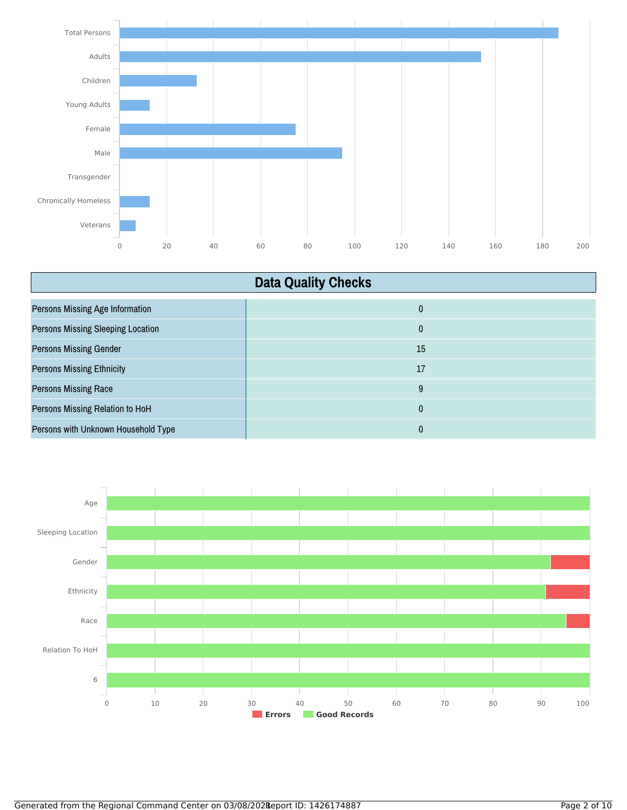

| <b>Data Quality Checks</b>               |              |
|------------------------------------------|--------------|
| <b>Persons Missing Age Information</b>   | $\mathbf{0}$ |
| <b>Persons Missing Sleeping Location</b> | $\mathbf{0}$ |
| <b>Persons Missing Gender</b>            | 15           |
| <b>Persons Missing Ethnicity</b>         | 17           |
| <b>Persons Missing Race</b>              | 9            |
| Persons Missing Relation to HoH          | 0            |
| Persons with Unknown Household Type      | 0            |

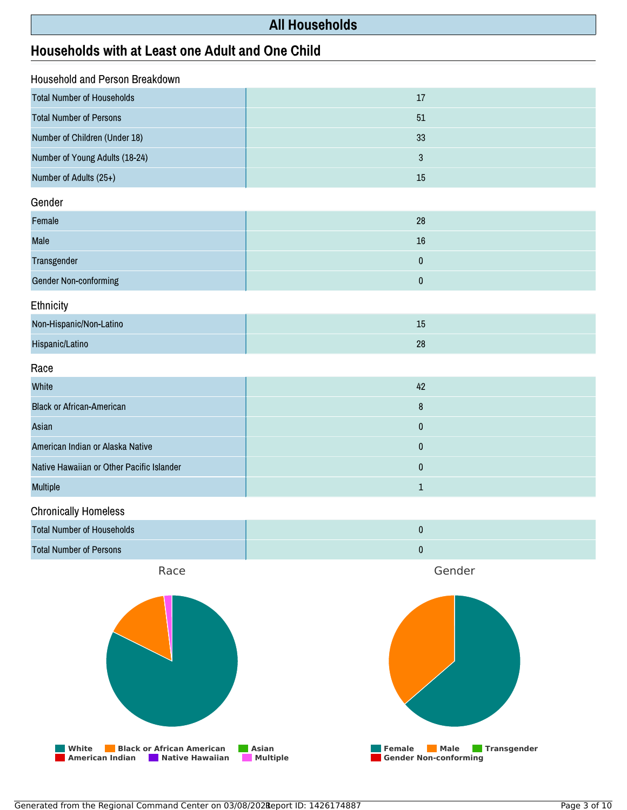### **All Households**

### **Households with at Least one Adult and One Child**

| Household and Person Breakdown                                                         |                                                                                                         |
|----------------------------------------------------------------------------------------|---------------------------------------------------------------------------------------------------------|
| <b>Total Number of Households</b>                                                      | 17                                                                                                      |
| <b>Total Number of Persons</b>                                                         | 51                                                                                                      |
| Number of Children (Under 18)                                                          | 33                                                                                                      |
| Number of Young Adults (18-24)                                                         | $\sqrt{3}$                                                                                              |
| Number of Adults (25+)                                                                 | 15                                                                                                      |
| Gender                                                                                 |                                                                                                         |
| Female                                                                                 | 28                                                                                                      |
| Male                                                                                   | 16                                                                                                      |
| Transgender                                                                            | $\pmb{0}$                                                                                               |
| <b>Gender Non-conforming</b>                                                           | $\pmb{0}$                                                                                               |
| Ethnicity                                                                              |                                                                                                         |
| Non-Hispanic/Non-Latino                                                                | 15                                                                                                      |
| Hispanic/Latino                                                                        | 28                                                                                                      |
| Race                                                                                   |                                                                                                         |
| White                                                                                  | 42                                                                                                      |
| <b>Black or African-American</b>                                                       | $\bf 8$                                                                                                 |
| Asian                                                                                  | $\pmb{0}$                                                                                               |
| American Indian or Alaska Native                                                       | $\pmb{0}$                                                                                               |
| Native Hawaiian or Other Pacific Islander                                              | $\pmb{0}$                                                                                               |
| Multiple                                                                               | $\mathbf{1}$                                                                                            |
| <b>Chronically Homeless</b>                                                            |                                                                                                         |
| <b>Total Number of Households</b>                                                      | $\pmb{0}$                                                                                               |
| <b>Total Number of Persons</b>                                                         | $\pmb{0}$                                                                                               |
| Race                                                                                   | Gender                                                                                                  |
| <b>Black or African American</b><br>White<br><b>American Indian</b><br>Native Hawaiian | Asian<br>Transgender<br><b>Female</b><br><b>Male</b><br><b>Multiple</b><br><b>Gender Non-conforming</b> |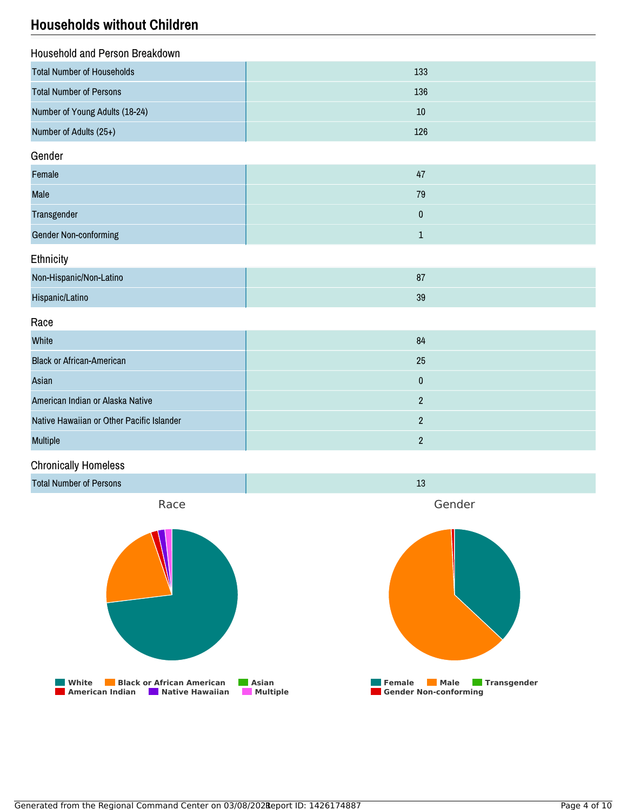### **Households without Children**

| Household and Person Breakdown    |     |  |
|-----------------------------------|-----|--|
| <b>Total Number of Households</b> | 133 |  |
| <b>Total Number of Persons</b>    | 136 |  |
| Number of Young Adults (18-24)    | 10  |  |
| Number of Adults (25+)            | 126 |  |

#### Gender

| Female                       | 47 |
|------------------------------|----|
| <b>Male</b>                  | 79 |
| <b>Transgender</b>           |    |
| <b>Gender Non-conforming</b> |    |

#### **Ethnicity**

| Non-Hispanic/Non-Latino | o7<br>οı |
|-------------------------|----------|
| Hispanic/Latino         | 39       |

#### Race

| White                                     | 84 |
|-------------------------------------------|----|
| <b>Black or African-American</b>          | 25 |
| Asian                                     |    |
| American Indian or Alaska Native          |    |
| Native Hawaiian or Other Pacific Islander |    |
| <b>Multiple</b>                           |    |

#### Chronically Homeless

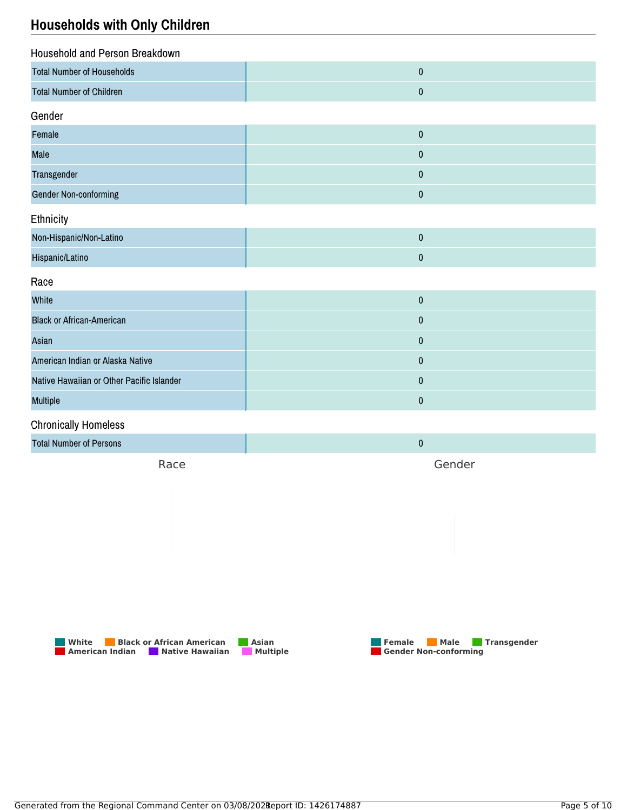### **Households with Only Children**

| Household and Person Breakdown            |           |
|-------------------------------------------|-----------|
| <b>Total Number of Households</b>         | $\pmb{0}$ |
| <b>Total Number of Children</b>           | $\pmb{0}$ |
| Gender                                    |           |
| Female                                    | $\pmb{0}$ |
| Male                                      | $\pmb{0}$ |
| Transgender                               | $\pmb{0}$ |
| <b>Gender Non-conforming</b>              | $\pmb{0}$ |
| Ethnicity                                 |           |
| Non-Hispanic/Non-Latino                   | $\pmb{0}$ |
| Hispanic/Latino                           | $\pmb{0}$ |
| Race                                      |           |
| White                                     | $\pmb{0}$ |
| <b>Black or African-American</b>          | $\pmb{0}$ |
| Asian                                     | $\pmb{0}$ |
| American Indian or Alaska Native          | $\pmb{0}$ |
| Native Hawaiian or Other Pacific Islander | $\pmb{0}$ |
| Multiple                                  | $\pmb{0}$ |
| <b>Chronically Homeless</b>               |           |
| <b>Total Number of Persons</b>            | $\pmb{0}$ |
| Race                                      | Gender    |



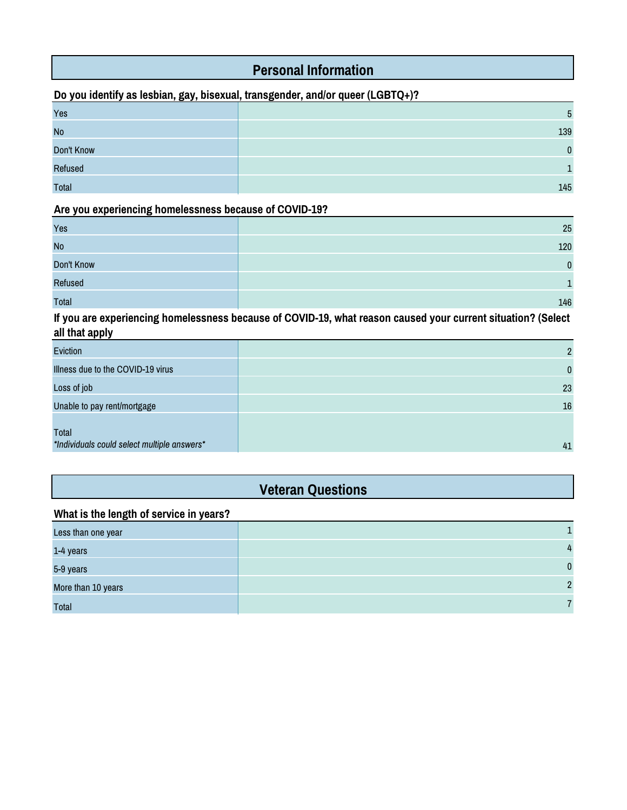### **Personal Information**

#### **Do you identify as lesbian, gay, bisexual, transgender, and/or queer (LGBTQ+)?**

| Yes        | $\mathbf b$  |
|------------|--------------|
| <b>No</b>  | 139          |
| Don't Know | <sup>n</sup> |
| Refused    |              |
| Total      | 145          |

#### **Are you experiencing homelessness because of COVID-19?**

| Yes          | 25  |
|--------------|-----|
| <b>No</b>    | 120 |
| Don't Know   | n.  |
| Refused      |     |
| <b>Total</b> | 146 |

**If you are experiencing homelessness because of COVID-19, what reason caused your current situation? (Select all that apply**

| Eviction                                             | $\overline{2}$ |
|------------------------------------------------------|----------------|
| Illness due to the COVID-19 virus                    | $\mathbf{0}$   |
| Loss of job                                          | 23             |
| Unable to pay rent/mortgage                          | 16             |
| Total<br>*Individuals could select multiple answers* | 41             |

### **Veteran Questions**

#### **What is the length of service in years?**

| Less than one year |                |
|--------------------|----------------|
| 1-4 years          | $\overline{4}$ |
| 5-9 years          | $\mathbf{0}$   |
| More than 10 years | $\overline{2}$ |
| <b>Total</b>       |                |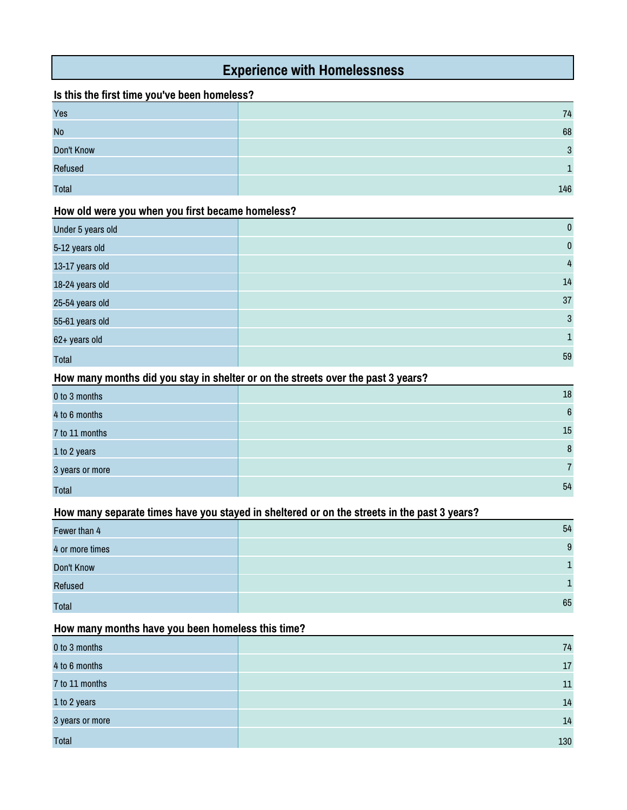### **Experience with Homelessness**

#### **Is this the first time you've been homeless?**

| Yes          | 74  |
|--------------|-----|
| <b>No</b>    | 68  |
| Don't Know   | c   |
| Refused      |     |
| <b>Total</b> | 146 |

#### **How old were you when you first became homeless?**

| Under 5 years old | $\mathbf{0}$ |
|-------------------|--------------|
| 5-12 years old    | $\mathbf{0}$ |
| 13-17 years old   | 4            |
| 18-24 years old   | 14           |
| 25-54 years old   | 37           |
| 55-61 years old   | 3            |
| 62+ years old     |              |
| Total             | 59           |

#### **How many months did you stay in shelter or on the streets over the past 3 years?**

| 0 to 3 months   | $18\,$         |
|-----------------|----------------|
| 4 to 6 months   | $6\phantom{1}$ |
| 7 to 11 months  | $15\,$         |
| 1 to 2 years    | 8              |
| 3 years or more | $\overline{7}$ |
| <b>Total</b>    | 54             |

#### **How many separate times have you stayed in sheltered or on the streets in the past 3 years?**

| Fewer than 4    | 54 |
|-----------------|----|
| 4 or more times | 9  |
| Don't Know      | 1. |
| <b>Refused</b>  | 1. |
| <b>Total</b>    | 65 |

#### **How many months have you been homeless this time?**

| 0 to 3 months   | 74  |
|-----------------|-----|
| 4 to 6 months   | 17  |
| 7 to 11 months  | 11  |
| 1 to 2 years    | 14  |
| 3 years or more | 14  |
| <b>Total</b>    | 130 |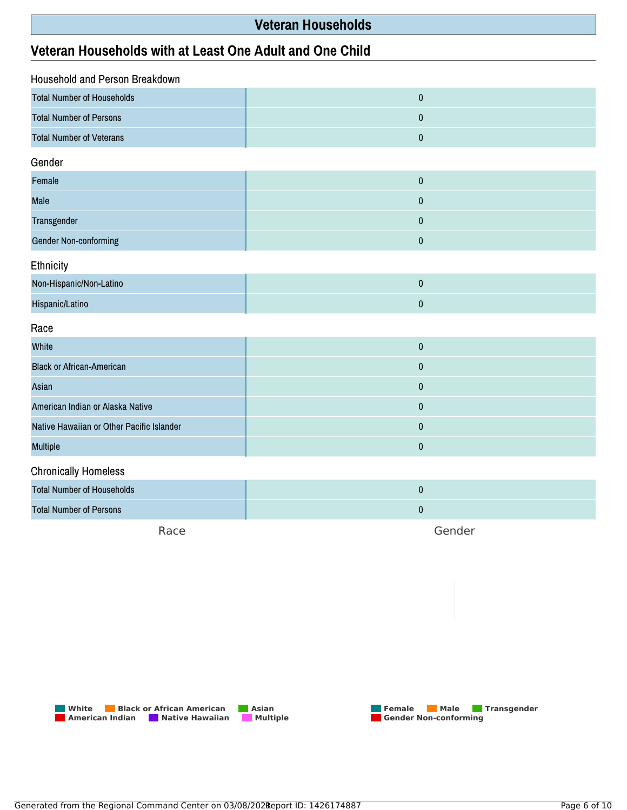### **Veteran Households**

### **Veteran Households with at Least One Adult and One Child**

| <b>Household and Person Breakdown</b>     |           |  |
|-------------------------------------------|-----------|--|
| <b>Total Number of Households</b>         | $\pmb{0}$ |  |
| <b>Total Number of Persons</b>            | 0         |  |
| <b>Total Number of Veterans</b>           | $\pmb{0}$ |  |
| Gender                                    |           |  |
| Female                                    | $\pmb{0}$ |  |
| Male                                      | $\pmb{0}$ |  |
| Transgender                               | $\pmb{0}$ |  |
| <b>Gender Non-conforming</b>              | $\pmb{0}$ |  |
| Ethnicity                                 |           |  |
| Non-Hispanic/Non-Latino                   | $\pmb{0}$ |  |
| Hispanic/Latino                           | $\pmb{0}$ |  |
| Race                                      |           |  |
| White                                     | $\pmb{0}$ |  |
| <b>Black or African-American</b>          | $\pmb{0}$ |  |
| Asian                                     | $\pmb{0}$ |  |
| American Indian or Alaska Native          | $\pmb{0}$ |  |
| Native Hawaiian or Other Pacific Islander | $\pmb{0}$ |  |
| <b>Multiple</b>                           | $\pmb{0}$ |  |
| <b>Chronically Homeless</b>               |           |  |
| <b>Total Number of Households</b>         | $\pmb{0}$ |  |
| <b>Total Number of Persons</b>            | $\pmb{0}$ |  |

Race

Gender



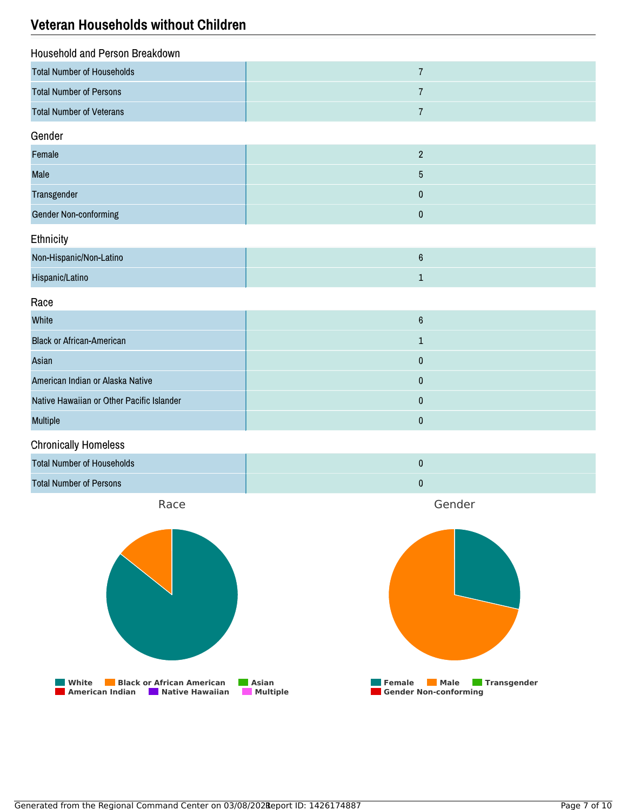### **Veteran Households without Children**

| Household and Person Breakdown            |                  |
|-------------------------------------------|------------------|
| <b>Total Number of Households</b>         | $\overline{7}$   |
| <b>Total Number of Persons</b>            | $\sqrt{7}$       |
| <b>Total Number of Veterans</b>           | $\overline{7}$   |
| Gender                                    |                  |
| Female                                    | $\overline{2}$   |
| Male                                      | $\sqrt{5}$       |
| Transgender                               | $\pmb{0}$        |
| <b>Gender Non-conforming</b>              | $\pmb{0}$        |
| Ethnicity                                 |                  |
| Non-Hispanic/Non-Latino                   | $\boldsymbol{6}$ |
| Hispanic/Latino                           | $\mathbf{1}$     |
| Race                                      |                  |
| White                                     | $\bf 6$          |
| <b>Black or African-American</b>          | $\mathbf 1$      |
| Asian                                     | $\pmb{0}$        |
| American Indian or Alaska Native          | $\pmb{0}$        |
| Native Hawaiian or Other Pacific Islander | $\pmb{0}$        |
| <b>Multiple</b>                           | $\pmb{0}$        |
| <b>Chronically Homeless</b>               |                  |
| <b>Total Number of Households</b>         | $\pmb{0}$        |
| <b>Total Number of Persons</b>            | $\pmb{0}$        |
| Race                                      | Gender           |

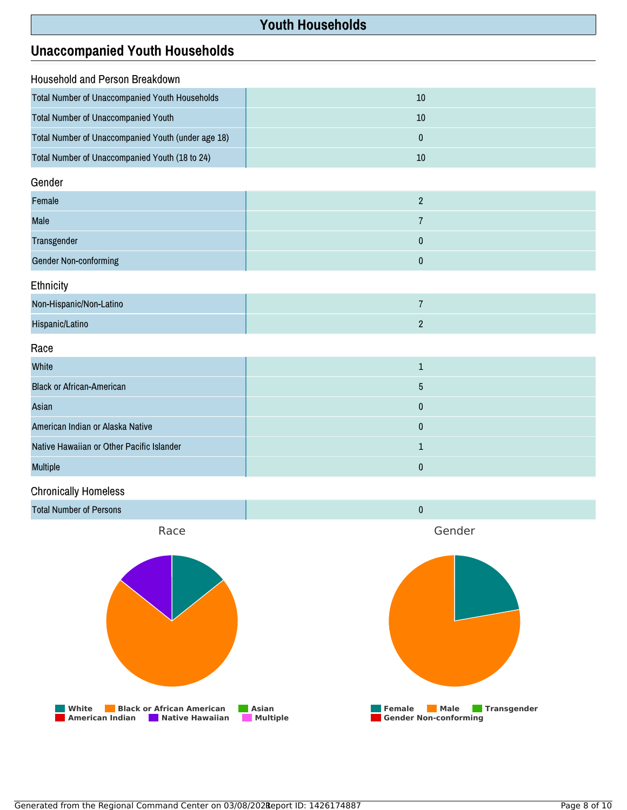### **Youth Households**

## **Unaccompanied Youth Households**

| <b>Household and Person Breakdown</b>              |    |
|----------------------------------------------------|----|
| Total Number of Unaccompanied Youth Households     | 10 |
| <b>Total Number of Unaccompanied Youth</b>         | 10 |
| Total Number of Unaccompanied Youth (under age 18) | 0  |
| Total Number of Unaccompanied Youth (18 to 24)     | 10 |
| Gender                                             |    |

| Female                |  |
|-----------------------|--|
| Male                  |  |
| Transgender           |  |
| Gender Non-conforming |  |

Ethnicity

| Non-Hispanic/Non-Latino |  |
|-------------------------|--|
| Hispanic/Latino         |  |

Race

| White                                     |  |
|-------------------------------------------|--|
| <b>Black or African-American</b>          |  |
| Asian                                     |  |
| American Indian or Alaska Native          |  |
| Native Hawaiian or Other Pacific Islander |  |
| <b>Multiple</b>                           |  |

#### Chronically Homeless

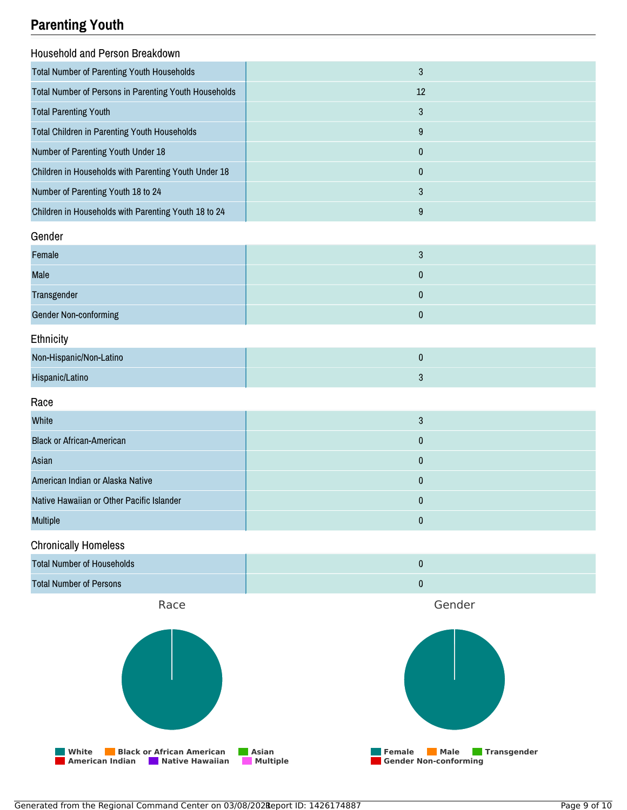### **Parenting Youth**

| Ч                                                     |              |
|-------------------------------------------------------|--------------|
| Household and Person Breakdown                        |              |
| <b>Total Number of Parenting Youth Households</b>     | $\sqrt{3}$   |
| Total Number of Persons in Parenting Youth Households | $12\,$       |
| <b>Total Parenting Youth</b>                          | $\sqrt{3}$   |
| Total Children in Parenting Youth Households          | $9\,$        |
| Number of Parenting Youth Under 18                    | $\pmb{0}$    |
| Children in Households with Parenting Youth Under 18  | $\pmb{0}$    |
| Number of Parenting Youth 18 to 24                    | $\sqrt{3}$   |
| Children in Households with Parenting Youth 18 to 24  | $9\,$        |
| Gender                                                |              |
| Female                                                | $\mathbf{3}$ |
| Male                                                  | $\pmb{0}$    |
| Transgender                                           | $\pmb{0}$    |
| <b>Gender Non-conforming</b>                          | $\pmb{0}$    |
| Ethnicity                                             |              |
| Non-Hispanic/Non-Latino                               | $\pmb{0}$    |
| Hispanic/Latino                                       | $\mathbf{3}$ |
| Race                                                  |              |
| White                                                 | $\sqrt{3}$   |
| <b>Black or African-American</b>                      | $\pmb{0}$    |
| Asian                                                 | $\pmb{0}$    |
| American Indian or Alaska Native                      | $\pmb{0}$    |
| Native Hawaiian or Other Pacific Islander             | $\pmb{0}$    |
| <b>Multiple</b>                                       | $\pmb{0}$    |
| <b>Chronically Homeless</b>                           |              |
| <b>Total Number of Households</b>                     | $\pmb{0}$    |
| <b>Total Number of Persons</b>                        | $\pmb{0}$    |
| Race                                                  | Gender       |
|                                                       |              |

**White Black or African American Asian American Indian Native Hawaiian Multiple** **Female Male Transgender**

**Gender Non-conforming**